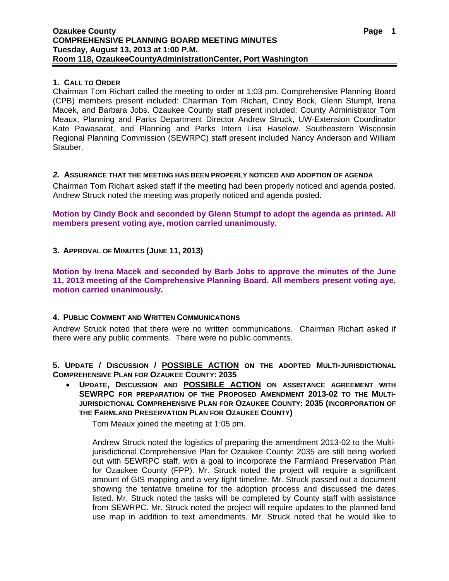# **1. CALL TO ORDER**

Chairman Tom Richart called the meeting to order at 1:03 pm. Comprehensive Planning Board (CPB) members present included: Chairman Tom Richart, Cindy Bock, Glenn Stumpf, Irena Macek, and Barbara Jobs. Ozaukee County staff present included: County Administrator Tom Meaux, Planning and Parks Department Director Andrew Struck, UW-Extension Coordinator Kate Pawasarat, and Planning and Parks Intern Lisa Haselow. Southeastern Wisconsin Regional Planning Commission (SEWRPC) staff present included Nancy Anderson and William Stauber.

# *2.* **ASSURANCE THAT THE MEETING HAS BEEN PROPERLY NOTICED AND ADOPTION OF AGENDA**

Chairman Tom Richart asked staff if the meeting had been properly noticed and agenda posted. Andrew Struck noted the meeting was properly noticed and agenda posted.

**Motion by Cindy Bock and seconded by Glenn Stumpf to adopt the agenda as printed. All members present voting aye, motion carried unanimously.** 

**3. APPROVAL OF MINUTES (JUNE 11, 2013)** 

**Motion by Irena Macek and seconded by Barb Jobs to approve the minutes of the June 11, 2013 meeting of the Comprehensive Planning Board. All members present voting aye, motion carried unanimously.** 

# **4. PUBLIC COMMENT AND WRITTEN COMMUNICATIONS**

Andrew Struck noted that there were no written communications. Chairman Richart asked if there were any public comments. There were no public comments.

**5. UPDATE / DISCUSSION / POSSIBLE ACTION ON THE ADOPTED MULTI-JURISDICTIONAL COMPREHENSIVE PLAN FOR OZAUKEE COUNTY: 2035** 

 **UPDATE, DISCUSSION AND POSSIBLE ACTION ON ASSISTANCE AGREEMENT WITH SEWRPC FOR PREPARATION OF THE PROPOSED AMENDMENT 2013-02 TO THE MULTI-JURISDICTIONAL COMPREHENSIVE PLAN FOR OZAUKEE COUNTY: 2035 (INCORPORATION OF THE FARMLAND PRESERVATION PLAN FOR OZAUKEE COUNTY)** 

Tom Meaux joined the meeting at 1:05 pm.

Andrew Struck noted the logistics of preparing the amendment 2013-02 to the Multijurisdictional Comprehensive Plan for Ozaukee County: 2035 are still being worked out with SEWRPC staff, with a goal to incorporate the Farmland Preservation Plan for Ozaukee County (FPP). Mr. Struck noted the project will require a significant amount of GIS mapping and a very tight timeline. Mr. Struck passed out a document showing the tentative timeline for the adoption process and discussed the dates listed. Mr. Struck noted the tasks will be completed by County staff with assistance from SEWRPC. Mr. Struck noted the project will require updates to the planned land use map in addition to text amendments. Mr. Struck noted that he would like to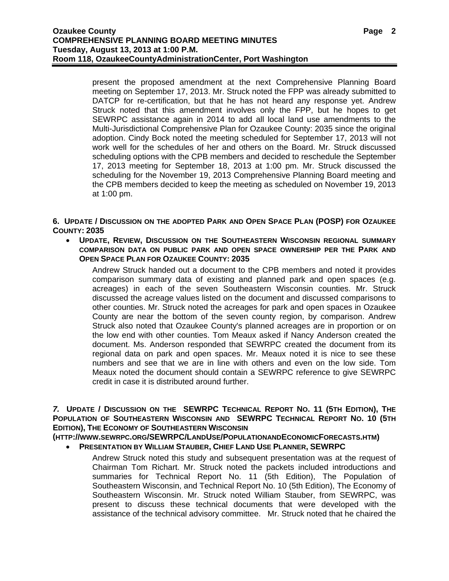present the proposed amendment at the next Comprehensive Planning Board meeting on September 17, 2013. Mr. Struck noted the FPP was already submitted to DATCP for re-certification, but that he has not heard any response yet. Andrew Struck noted that this amendment involves only the FPP, but he hopes to get SEWRPC assistance again in 2014 to add all local land use amendments to the Multi-Jurisdictional Comprehensive Plan for Ozaukee County: 2035 since the original adoption. Cindy Bock noted the meeting scheduled for September 17, 2013 will not work well for the schedules of her and others on the Board. Mr. Struck discussed scheduling options with the CPB members and decided to reschedule the September 17, 2013 meeting for September 18, 2013 at 1:00 pm. Mr. Struck discussed the scheduling for the November 19, 2013 Comprehensive Planning Board meeting and the CPB members decided to keep the meeting as scheduled on November 19, 2013 at 1:00 pm.

**6. UPDATE / DISCUSSION ON THE ADOPTED PARK AND OPEN SPACE PLAN (POSP) FOR OZAUKEE COUNTY: 2035** 

 **UPDATE, REVIEW, DISCUSSION ON THE SOUTHEASTERN WISCONSIN REGIONAL SUMMARY COMPARISON DATA ON PUBLIC PARK AND OPEN SPACE OWNERSHIP PER THE PARK AND OPEN SPACE PLAN FOR OZAUKEE COUNTY: 2035** 

Andrew Struck handed out a document to the CPB members and noted it provides comparison summary data of existing and planned park and open spaces (e.g. acreages) in each of the seven Southeastern Wisconsin counties. Mr. Struck discussed the acreage values listed on the document and discussed comparisons to other counties. Mr. Struck noted the acreages for park and open spaces in Ozaukee County are near the bottom of the seven county region, by comparison. Andrew Struck also noted that Ozaukee County's planned acreages are in proportion or on the low end with other counties. Tom Meaux asked if Nancy Anderson created the document. Ms. Anderson responded that SEWRPC created the document from its regional data on park and open spaces. Mr. Meaux noted it is nice to see these numbers and see that we are in line with others and even on the low side. Tom Meaux noted the document should contain a SEWRPC reference to give SEWRPC credit in case it is distributed around further.

*7.* **UPDATE / DISCUSSION ON THE SEWRPC TECHNICAL REPORT NO. 11 (5TH EDITION), THE POPULATION OF SOUTHEASTERN WISCONSIN AND SEWRPC TECHNICAL REPORT NO. 10 (5TH EDITION), THE ECONOMY OF SOUTHEASTERN WISCONSIN**

**(HTTP://WWW.SEWRPC.ORG/SEWRPC/LANDUSE/POPULATIONANDECONOMICFORECASTS.HTM)** 

- **PRESENTATION BY WILLIAM STAUBER, CHIEF LAND USE PLANNER, SEWRPC** 
	- Andrew Struck noted this study and subsequent presentation was at the request of Chairman Tom Richart. Mr. Struck noted the packets included introductions and summaries for Technical Report No. 11 (5th Edition), The Population of Southeastern Wisconsin, and Technical Report No. 10 (5th Edition), The Economy of Southeastern Wisconsin. Mr. Struck noted William Stauber, from SEWRPC, was present to discuss these technical documents that were developed with the assistance of the technical advisory committee. Mr. Struck noted that he chaired the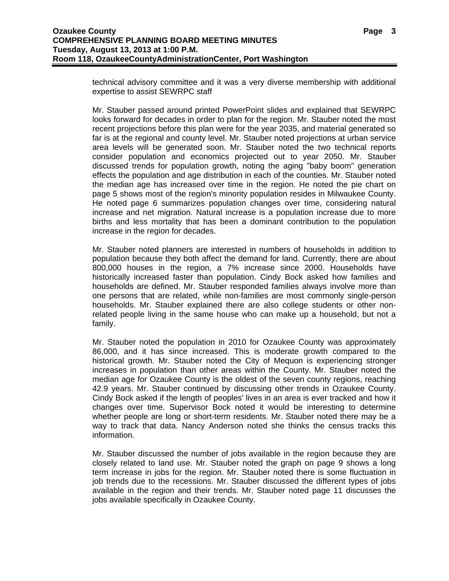technical advisory committee and it was a very diverse membership with additional expertise to assist SEWRPC staff

Mr. Stauber passed around printed PowerPoint slides and explained that SEWRPC looks forward for decades in order to plan for the region. Mr. Stauber noted the most recent projections before this plan were for the year 2035, and material generated so far is at the regional and county level. Mr. Stauber noted projections at urban service area levels will be generated soon. Mr. Stauber noted the two technical reports consider population and economics projected out to year 2050. Mr. Stauber discussed trends for population growth, noting the aging "baby boom" generation effects the population and age distribution in each of the counties. Mr. Stauber noted the median age has increased over time in the region. He noted the pie chart on page 5 shows most of the region's minority population resides in Milwaukee County. He noted page 6 summarizes population changes over time, considering natural increase and net migration. Natural increase is a population increase due to more births and less mortality that has been a dominant contribution to the population increase in the region for decades.

Mr. Stauber noted planners are interested in numbers of households in addition to population because they both affect the demand for land. Currently, there are about 800,000 houses in the region, a 7% increase since 2000. Households have historically increased faster than population. Cindy Bock asked how families and households are defined. Mr. Stauber responded families always involve more than one persons that are related, while non-families are most commonly single-person households. Mr. Stauber explained there are also college students or other nonrelated people living in the same house who can make up a household, but not a family.

Mr. Stauber noted the population in 2010 for Ozaukee County was approximately 86,000, and it has since increased. This is moderate growth compared to the historical growth. Mr. Stauber noted the City of Mequon is experiencing stronger increases in population than other areas within the County. Mr. Stauber noted the median age for Ozaukee County is the oldest of the seven county regions, reaching 42.9 years. Mr. Stauber continued by discussing other trends in Ozaukee County. Cindy Bock asked if the length of peoples' lives in an area is ever tracked and how it changes over time. Supervisor Bock noted it would be interesting to determine whether people are long or short-term residents. Mr. Stauber noted there may be a way to track that data. Nancy Anderson noted she thinks the census tracks this information.

Mr. Stauber discussed the number of jobs available in the region because they are closely related to land use. Mr. Stauber noted the graph on page 9 shows a long term increase in jobs for the region. Mr. Stauber noted there is some fluctuation in job trends due to the recessions. Mr. Stauber discussed the different types of jobs available in the region and their trends. Mr. Stauber noted page 11 discusses the jobs available specifically in Ozaukee County.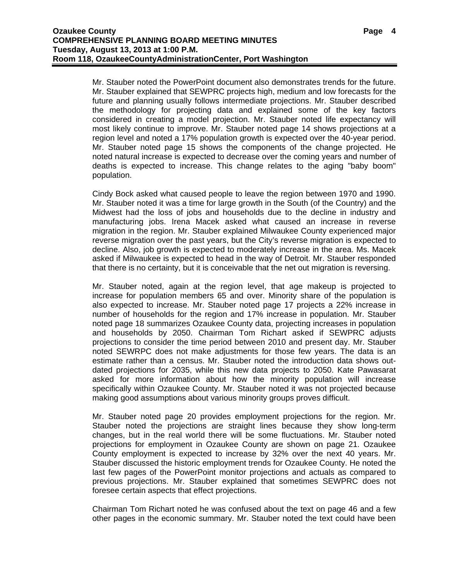Mr. Stauber noted the PowerPoint document also demonstrates trends for the future. Mr. Stauber explained that SEWPRC projects high, medium and low forecasts for the future and planning usually follows intermediate projections. Mr. Stauber described the methodology for projecting data and explained some of the key factors considered in creating a model projection. Mr. Stauber noted life expectancy will most likely continue to improve. Mr. Stauber noted page 14 shows projections at a region level and noted a 17% population growth is expected over the 40-year period. Mr. Stauber noted page 15 shows the components of the change projected. He noted natural increase is expected to decrease over the coming years and number of deaths is expected to increase. This change relates to the aging "baby boom" population.

Cindy Bock asked what caused people to leave the region between 1970 and 1990. Mr. Stauber noted it was a time for large growth in the South (of the Country) and the Midwest had the loss of jobs and households due to the decline in industry and manufacturing jobs. Irena Macek asked what caused an increase in reverse migration in the region. Mr. Stauber explained Milwaukee County experienced major reverse migration over the past years, but the City's reverse migration is expected to decline. Also, job growth is expected to moderately increase in the area. Ms. Macek asked if Milwaukee is expected to head in the way of Detroit. Mr. Stauber responded that there is no certainty, but it is conceivable that the net out migration is reversing.

Mr. Stauber noted, again at the region level, that age makeup is projected to increase for population members 65 and over. Minority share of the population is also expected to increase. Mr. Stauber noted page 17 projects a 22% increase in number of households for the region and 17% increase in population. Mr. Stauber noted page 18 summarizes Ozaukee County data, projecting increases in population and households by 2050. Chairman Tom Richart asked if SEWPRC adjusts projections to consider the time period between 2010 and present day. Mr. Stauber noted SEWRPC does not make adjustments for those few years. The data is an estimate rather than a census. Mr. Stauber noted the introduction data shows outdated projections for 2035, while this new data projects to 2050. Kate Pawasarat asked for more information about how the minority population will increase specifically within Ozaukee County. Mr. Stauber noted it was not projected because making good assumptions about various minority groups proves difficult.

Mr. Stauber noted page 20 provides employment projections for the region. Mr. Stauber noted the projections are straight lines because they show long-term changes, but in the real world there will be some fluctuations. Mr. Stauber noted projections for employment in Ozaukee County are shown on page 21. Ozaukee County employment is expected to increase by 32% over the next 40 years. Mr. Stauber discussed the historic employment trends for Ozaukee County. He noted the last few pages of the PowerPoint monitor projections and actuals as compared to previous projections. Mr. Stauber explained that sometimes SEWPRC does not foresee certain aspects that effect projections.

Chairman Tom Richart noted he was confused about the text on page 46 and a few other pages in the economic summary. Mr. Stauber noted the text could have been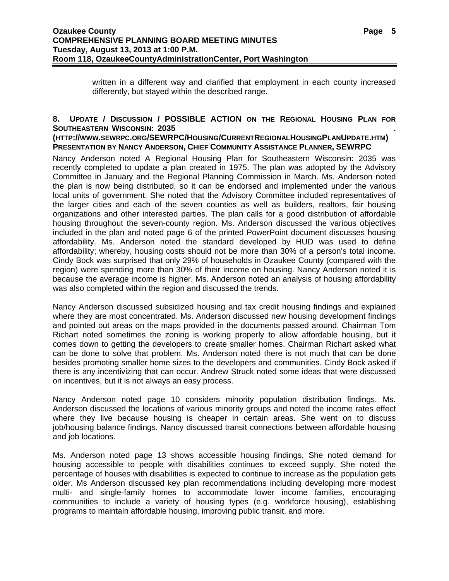written in a different way and clarified that employment in each county increased differently, but stayed within the described range.

# **8. UPDATE / DISCUSSION / POSSIBLE ACTION ON THE REGIONAL HOUSING PLAN FOR SOUTHEASTERN WISCONSIN: 2035 .**

### **(HTTP://WWW.SEWRPC.ORG/SEWRPC/HOUSING/CURRENTREGIONALHOUSINGPLANUPDATE.HTM) PRESENTATION BY NANCY ANDERSON, CHIEF COMMUNITY ASSISTANCE PLANNER, SEWRPC**

Nancy Anderson noted A Regional Housing Plan for Southeastern Wisconsin: 2035 was recently completed to update a plan created in 1975. The plan was adopted by the Advisory Committee in January and the Regional Planning Commission in March. Ms. Anderson noted the plan is now being distributed, so it can be endorsed and implemented under the various local units of government. She noted that the Advisory Committee included representatives of the larger cities and each of the seven counties as well as builders, realtors, fair housing organizations and other interested parties. The plan calls for a good distribution of affordable housing throughout the seven-county region. Ms. Anderson discussed the various objectives included in the plan and noted page 6 of the printed PowerPoint document discusses housing affordability. Ms. Anderson noted the standard developed by HUD was used to define affordability; whereby, housing costs should not be more than 30% of a person's total income. Cindy Bock was surprised that only 29% of households in Ozaukee County (compared with the region) were spending more than 30% of their income on housing. Nancy Anderson noted it is because the average income is higher. Ms. Anderson noted an analysis of housing affordability was also completed within the region and discussed the trends.

Nancy Anderson discussed subsidized housing and tax credit housing findings and explained where they are most concentrated. Ms. Anderson discussed new housing development findings and pointed out areas on the maps provided in the documents passed around. Chairman Tom Richart noted sometimes the zoning is working properly to allow affordable housing, but it comes down to getting the developers to create smaller homes. Chairman Richart asked what can be done to solve that problem. Ms. Anderson noted there is not much that can be done besides promoting smaller home sizes to the developers and communities. Cindy Bock asked if there is any incentivizing that can occur. Andrew Struck noted some ideas that were discussed on incentives, but it is not always an easy process.

Nancy Anderson noted page 10 considers minority population distribution findings. Ms. Anderson discussed the locations of various minority groups and noted the income rates effect where they live because housing is cheaper in certain areas. She went on to discuss job/housing balance findings. Nancy discussed transit connections between affordable housing and job locations.

Ms. Anderson noted page 13 shows accessible housing findings. She noted demand for housing accessible to people with disabilities continues to exceed supply. She noted the percentage of houses with disabilities is expected to continue to increase as the population gets older. Ms Anderson discussed key plan recommendations including developing more modest multi- and single-family homes to accommodate lower income families, encouraging communities to include a variety of housing types (e.g. workforce housing), establishing programs to maintain affordable housing, improving public transit, and more.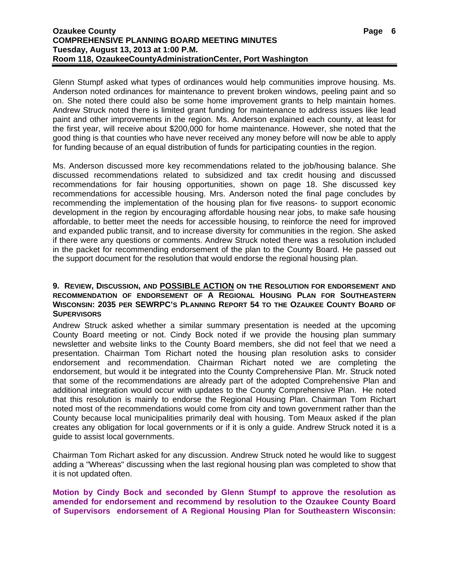Glenn Stumpf asked what types of ordinances would help communities improve housing. Ms. Anderson noted ordinances for maintenance to prevent broken windows, peeling paint and so on. She noted there could also be some home improvement grants to help maintain homes. Andrew Struck noted there is limited grant funding for maintenance to address issues like lead paint and other improvements in the region. Ms. Anderson explained each county, at least for the first year, will receive about \$200,000 for home maintenance. However, she noted that the good thing is that counties who have never received any money before will now be able to apply for funding because of an equal distribution of funds for participating counties in the region.

Ms. Anderson discussed more key recommendations related to the job/housing balance. She discussed recommendations related to subsidized and tax credit housing and discussed recommendations for fair housing opportunities, shown on page 18. She discussed key recommendations for accessible housing. Mrs. Anderson noted the final page concludes by recommending the implementation of the housing plan for five reasons- to support economic development in the region by encouraging affordable housing near jobs, to make safe housing affordable, to better meet the needs for accessible housing, to reinforce the need for improved and expanded public transit, and to increase diversity for communities in the region. She asked if there were any questions or comments. Andrew Struck noted there was a resolution included in the packet for recommending endorsement of the plan to the County Board. He passed out the support document for the resolution that would endorse the regional housing plan.

### **9. REVIEW, DISCUSSION, AND POSSIBLE ACTION ON THE RESOLUTION FOR ENDORSEMENT AND RECOMMENDATION OF ENDORSEMENT OF A REGIONAL HOUSING PLAN FOR SOUTHEASTERN WISCONSIN: 2035 PER SEWRPC'S PLANNING REPORT 54 TO THE OZAUKEE COUNTY BOARD OF SUPERVISORS**

Andrew Struck asked whether a similar summary presentation is needed at the upcoming County Board meeting or not. Cindy Bock noted if we provide the housing plan summary newsletter and website links to the County Board members, she did not feel that we need a presentation. Chairman Tom Richart noted the housing plan resolution asks to consider endorsement and recommendation. Chairman Richart noted we are completing the endorsement, but would it be integrated into the County Comprehensive Plan. Mr. Struck noted that some of the recommendations are already part of the adopted Comprehensive Plan and additional integration would occur with updates to the County Comprehensive Plan. He noted that this resolution is mainly to endorse the Regional Housing Plan. Chairman Tom Richart noted most of the recommendations would come from city and town government rather than the County because local municipalities primarily deal with housing. Tom Meaux asked if the plan creates any obligation for local governments or if it is only a guide. Andrew Struck noted it is a guide to assist local governments.

Chairman Tom Richart asked for any discussion. Andrew Struck noted he would like to suggest adding a "Whereas" discussing when the last regional housing plan was completed to show that it is not updated often.

### **Motion by Cindy Bock and seconded by Glenn Stumpf to approve the resolution as amended for endorsement and recommend by resolution to the Ozaukee County Board of Supervisors endorsement of A Regional Housing Plan for Southeastern Wisconsin:**